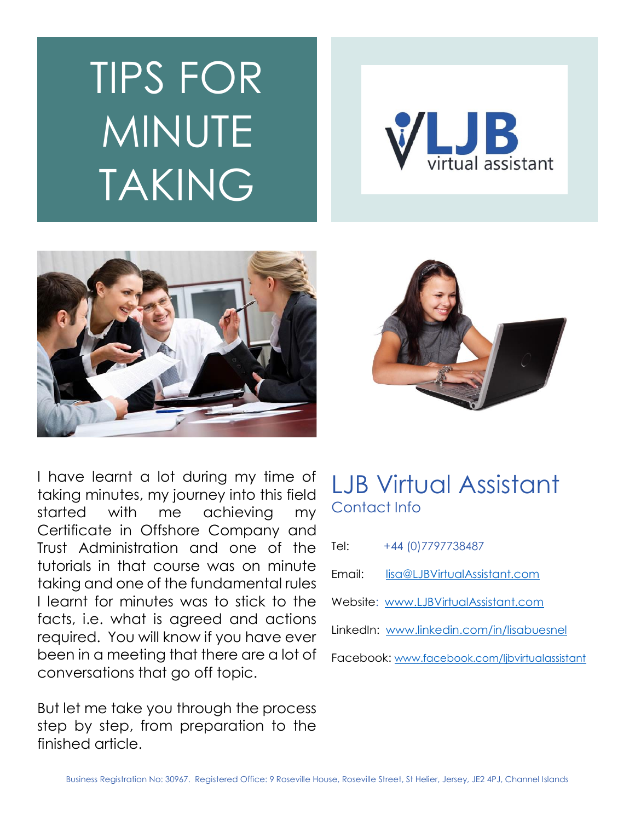# TIPS FOR MINUTE TAKING







I have learnt a lot during my time of taking minutes, my journey into this field started with me achieving my Certificate in Offshore Company and Trust Administration and one of the tutorials in that course was on minute taking and one of the fundamental rules I learnt for minutes was to stick to the facts, i.e. what is agreed and actions required. You will know if you have ever been in a meeting that there are a lot of conversations that go off topic.

But let me take you through the process step by step, from preparation to the finished article.

## LJB Virtual Assistant Contact Info

| +44 (0) 779 7738487<br>Tel:                    |
|------------------------------------------------|
| lisa@LJBVirtualAssistant.com<br>Fmail:         |
| Website: www.LJBVirtualAssistant.com           |
| LinkedIn: www.linkedin.com/in/lisabuesnel      |
| Facebook: www.facebook.com/ljbvirtualassistant |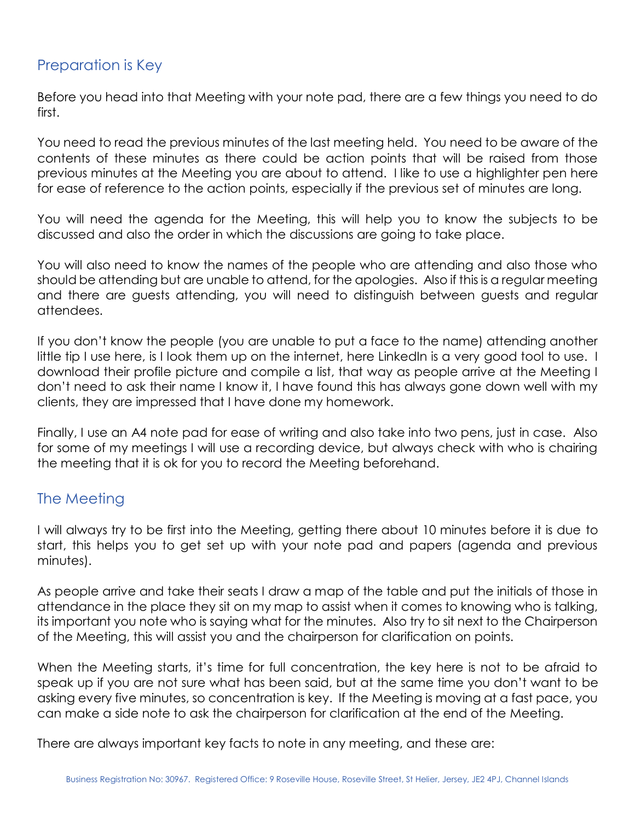#### Preparation is Key

Before you head into that Meeting with your note pad, there are a few things you need to do first.

You need to read the previous minutes of the last meeting held. You need to be aware of the contents of these minutes as there could be action points that will be raised from those previous minutes at the Meeting you are about to attend. I like to use a highlighter pen here for ease of reference to the action points, especially if the previous set of minutes are long.

You will need the agenda for the Meeting, this will help you to know the subjects to be discussed and also the order in which the discussions are going to take place.

You will also need to know the names of the people who are attending and also those who should be attending but are unable to attend, for the apologies. Also if this is a regular meeting and there are guests attending, you will need to distinguish between guests and regular attendees.

If you don't know the people (you are unable to put a face to the name) attending another little tip I use here, is I look them up on the internet, here LinkedIn is a very good tool to use. I download their profile picture and compile a list, that way as people arrive at the Meeting I don't need to ask their name I know it, I have found this has always gone down well with my clients, they are impressed that I have done my homework.

Finally, I use an A4 note pad for ease of writing and also take into two pens, just in case. Also for some of my meetings I will use a recording device, but always check with who is chairing the meeting that it is ok for you to record the Meeting beforehand.

### The Meeting

I will always try to be first into the Meeting, getting there about 10 minutes before it is due to start, this helps you to get set up with your note pad and papers (agenda and previous minutes).

As people arrive and take their seats I draw a map of the table and put the initials of those in attendance in the place they sit on my map to assist when it comes to knowing who is talking, its important you note who is saying what for the minutes. Also try to sit next to the Chairperson of the Meeting, this will assist you and the chairperson for clarification on points.

When the Meeting starts, it's time for full concentration, the key here is not to be afraid to speak up if you are not sure what has been said, but at the same time you don't want to be asking every five minutes, so concentration is key. If the Meeting is moving at a fast pace, you can make a side note to ask the chairperson for clarification at the end of the Meeting.

There are always important key facts to note in any meeting, and these are: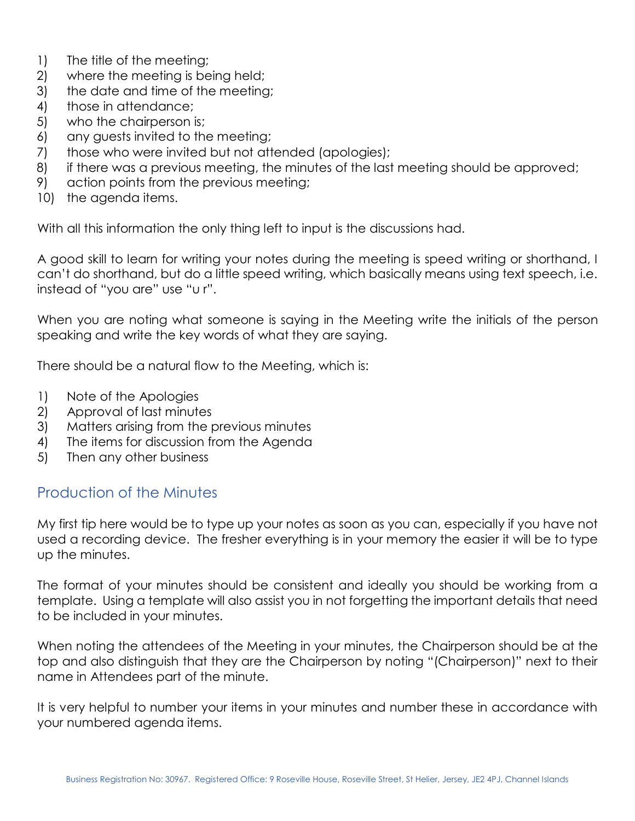- 1) The title of the meeting;
- 2) where the meeting is being held;
- 3) the date and time of the meeting;
- 4) those in attendance;
- 5) who the chairperson is;
- 6) any guests invited to the meeting;
- 7) those who were invited but not attended (apologies);
- 8) if there was a previous meeting, the minutes of the last meeting should be approved;
- 9) action points from the previous meeting;
- 10) the agenda items.

With all this information the only thing left to input is the discussions had.

A good skill to learn for writing your notes during the meeting is speed writing or shorthand, I can't do shorthand, but do a little speed writing, which basically means using text speech, i.e. instead of "you are" use "u r".

When you are noting what someone is saying in the Meeting write the initials of the person speaking and write the key words of what they are saying.

There should be a natural flow to the Meeting, which is:

- 1) Note of the Apologies
- 2) Approval of last minutes
- 3) Matters arising from the previous minutes
- 4) The items for discussion from the Agenda
- 5) Then any other business

#### Production of the Minutes

My first tip here would be to type up your notes as soon as you can, especially if you have not used a recording device. The fresher everything is in your memory the easier it will be to type up the minutes.

The format of your minutes should be consistent and ideally you should be working from a template. Using a template will also assist you in not forgetting the important details that need to be included in your minutes.

When noting the attendees of the Meeting in your minutes, the Chairperson should be at the top and also distinguish that they are the Chairperson by noting "(Chairperson)" next to their name in Attendees part of the minute.

It is very helpful to number your items in your minutes and number these in accordance with your numbered agenda items.